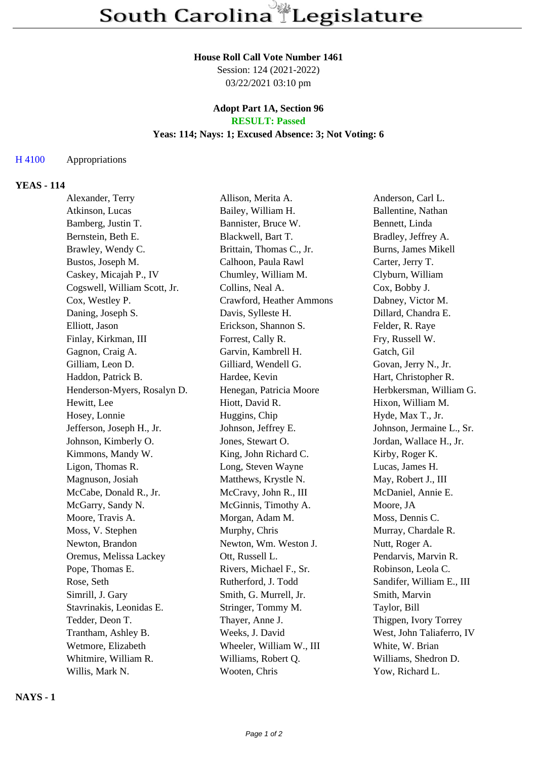# **House Roll Call Vote Number 1461**

Session: 124 (2021-2022) 03/22/2021 03:10 pm

### **Adopt Part 1A, Section 96 RESULT: Passed**

# **Yeas: 114; Nays: 1; Excused Absence: 3; Not Voting: 6**

### H 4100 Appropriations

# **YEAS - 114**

| Alexander, Terry             | Allison, Merita A.       | Anderson, Carl L.         |
|------------------------------|--------------------------|---------------------------|
| Atkinson, Lucas              | Bailey, William H.       | Ballentine, Nathan        |
| Bamberg, Justin T.           | Bannister, Bruce W.      | Bennett, Linda            |
| Bernstein, Beth E.           | Blackwell, Bart T.       | Bradley, Jeffrey A.       |
| Brawley, Wendy C.            | Brittain, Thomas C., Jr. | Burns, James Mikell       |
| Bustos, Joseph M.            | Calhoon, Paula Rawl      | Carter, Jerry T.          |
| Caskey, Micajah P., IV       | Chumley, William M.      | Clyburn, William          |
| Cogswell, William Scott, Jr. | Collins, Neal A.         | Cox, Bobby J.             |
| Cox, Westley P.              | Crawford, Heather Ammons | Dabney, Victor M.         |
| Daning, Joseph S.            | Davis, Sylleste H.       | Dillard, Chandra E.       |
| Elliott, Jason               | Erickson, Shannon S.     | Felder, R. Raye           |
| Finlay, Kirkman, III         | Forrest, Cally R.        | Fry, Russell W.           |
| Gagnon, Craig A.             | Garvin, Kambrell H.      | Gatch, Gil                |
| Gilliam, Leon D.             | Gilliard, Wendell G.     | Govan, Jerry N., Jr.      |
| Haddon, Patrick B.           | Hardee, Kevin            | Hart, Christopher R.      |
| Henderson-Myers, Rosalyn D.  | Henegan, Patricia Moore  | Herbkersman, William G.   |
| Hewitt, Lee                  | Hiott, David R.          | Hixon, William M.         |
| Hosey, Lonnie                | Huggins, Chip            | Hyde, Max T., Jr.         |
| Jefferson, Joseph H., Jr.    | Johnson, Jeffrey E.      | Johnson, Jermaine L., Sr. |
| Johnson, Kimberly O.         | Jones, Stewart O.        | Jordan, Wallace H., Jr.   |
| Kimmons, Mandy W.            | King, John Richard C.    | Kirby, Roger K.           |
| Ligon, Thomas R.             | Long, Steven Wayne       | Lucas, James H.           |
| Magnuson, Josiah             | Matthews, Krystle N.     | May, Robert J., III       |
| McCabe, Donald R., Jr.       | McCravy, John R., III    | McDaniel, Annie E.        |
| McGarry, Sandy N.            | McGinnis, Timothy A.     | Moore, JA                 |
| Moore, Travis A.             | Morgan, Adam M.          | Moss, Dennis C.           |
| Moss, V. Stephen             | Murphy, Chris            | Murray, Chardale R.       |
| Newton, Brandon              | Newton, Wm. Weston J.    | Nutt, Roger A.            |
| Oremus, Melissa Lackey       | Ott, Russell L.          | Pendarvis, Marvin R.      |
| Pope, Thomas E.              | Rivers, Michael F., Sr.  | Robinson, Leola C.        |
| Rose, Seth                   | Rutherford, J. Todd      | Sandifer, William E., III |
| Simrill, J. Gary             | Smith, G. Murrell, Jr.   | Smith, Marvin             |
| Stavrinakis, Leonidas E.     | Stringer, Tommy M.       | Taylor, Bill              |
| Tedder, Deon T.              | Thayer, Anne J.          | Thigpen, Ivory Torrey     |
| Trantham, Ashley B.          | Weeks, J. David          | West, John Taliaferro, IV |
| Wetmore, Elizabeth           | Wheeler, William W., III | White, W. Brian           |
| Whitmire, William R.         | Williams, Robert Q.      | Williams, Shedron D.      |
| Willis, Mark N.              | Wooten, Chris            | Yow, Richard L.           |